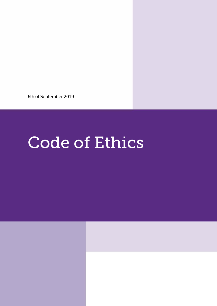6th of September 2019

# **Code of Ethics**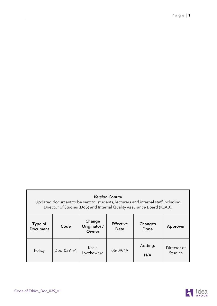| <b>Version Control</b><br>Updated document to be sent to: students, lecturers and internal staff including<br>Director of Studies (DoS) and Internal Quality Assurance Board (IQAB). |            |                                 |                          |                 |                               |  |
|--------------------------------------------------------------------------------------------------------------------------------------------------------------------------------------|------------|---------------------------------|--------------------------|-----------------|-------------------------------|--|
| Type of<br><b>Document</b>                                                                                                                                                           | Code       | Change<br>Originator /<br>Owner | <b>Effective</b><br>Date | Changes<br>Done | Approver                      |  |
| Policy                                                                                                                                                                               | Doc_039_v1 | Kasia<br>Lyczkowska             | 06/09/19                 | Adding:<br>N/A  | Director of<br><b>Studies</b> |  |

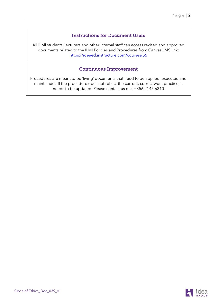#### Instructions for Document Users

All ILMI students, lecturers and other internal staff can access revised and approved documents related to the ILMI Policies and Procedures from Canvas LMS link: <https://ideaed.instructure.com/courses/55>

#### Continuous Improvement

Procedures are meant to be 'living' documents that need to be applied, executed and maintained. If the procedure does not reflect the current, correct work practice, it needs to be updated. Please contact us on: +356 2145 6310

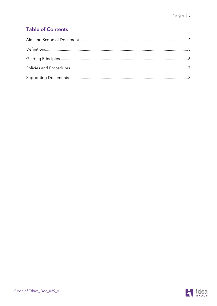# **Table of Contents**

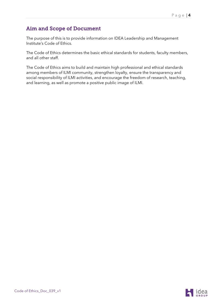### <span id="page-4-0"></span>Aim and Scope of Document

The purpose of this is to provide information on IDEA Leadership and Management Institute's Code of Ethics.

The Code of Ethics determines the basic ethical standards for students, faculty members, and all other staff.

The Code of Ethics aims to build and maintain high professional and ethical standards among members of ILMI community, strengthen loyalty, ensure the transparency and social responsibility of ILMI activities, and encourage the freedom of research, teaching, and learning, as well as promote a positive public image of ILMI.

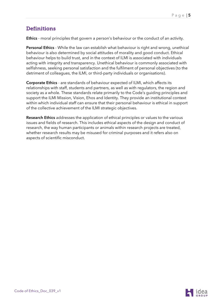# <span id="page-5-0"></span>**Definitions**

Ethics - moral principles that govern a person's behaviour or the conduct of an activity.

Personal Ethics - While the law can establish what behaviour is right and wrong, unethical behaviour is also determined by social attitudes of morality and good conduct. Ethical behaviour helps to build trust, and in the context of ILMI is associated with individuals acting with integrity and transparency. Unethical behaviour is commonly associated with selfishness, seeking personal satisfaction and the fulfilment of personal objectives (to the detriment of colleagues, the ILMI, or third-party individuals or organisations).

Corporate Ethics - are standards of behaviour expected of ILMI, which affects its relationships with staff, students and partners, as well as with regulators, the region and society as a whole. These standards relate primarily to the Code's guiding principles and support the ILMI Mission, Vision, Ehos and Identity. They provide an institutional context within which individual staff can ensure that their personal behaviour is ethical in support of the collective achievement of the ILMI strategic objectives.

Research Ethics addresses the application of ethical principles or values to the various issues and fields of research. This includes ethical aspects of the design and conduct of research, the way human participants or animals within research projects are treated, whether research results may be misused for criminal purposes and it refers also on aspects of scientific misconduct.

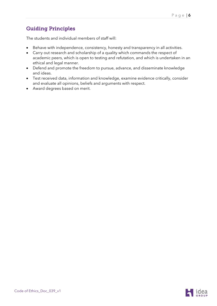## <span id="page-6-0"></span>Guiding Principles

The students and individual members of staff will:

- Behave with independence, consistency, honesty and transparency in all activities.
- Carry out research and scholarship of a quality which commands the respect of academic peers, which is open to testing and refutation, and which is undertaken in an ethical and legal manner.
- Defend and promote the freedom to pursue, advance, and disseminate knowledge and ideas.
- Test received data, information and knowledge, examine evidence critically, consider and evaluate all opinions, beliefs and arguments with respect.
- Award degrees based on merit.

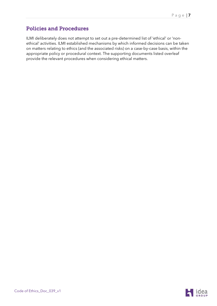## <span id="page-7-0"></span>Policies and Procedures

ILMI deliberately does not attempt to set out a pre-determined list of 'ethical' or 'nonethical' activities. ILMI established mechanisms by which informed decisions can be taken on matters relating to ethics (and the associated risks) on a case-by-case basis, within the appropriate policy or procedural context. The supporting documents listed overleaf provide the relevant procedures when considering ethical matters.

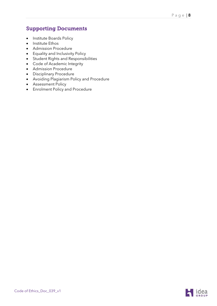#### <span id="page-8-0"></span>Supporting Documents

- Institute Boards Policy
- Institute Ethos
- Admission Procedure
- Equality and Inclusivity Policy
- Student Rights and Responsibilities
- Code of Academic Integrity
- Admission Procedure
- Disciplinary Procedure
- Avoiding Plagiarism Policy and Procedure
- Assessment Policy
- Enrolment Policy and Procedure